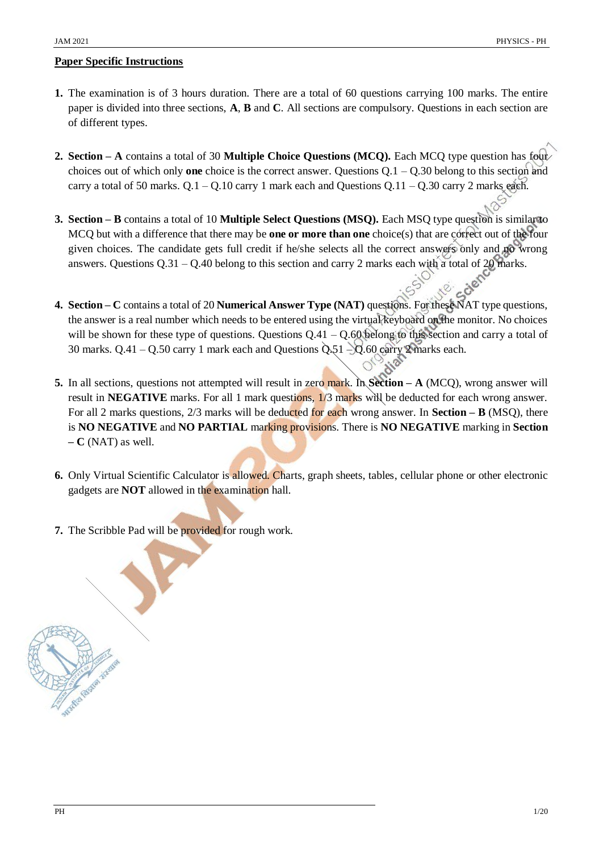# **Paper Specific Instructions**

- **1.** The examination is of 3 hours duration. There are a total of 60 questions carrying 100 marks. The entire paper is divided into three sections, **A**, **B** and **C**. All sections are compulsory. Questions in each section are of different types.
- **2. Section – A** contains a total of 30 **Multiple Choice Questions (MCQ).** Each MCQ type question has four choices out of which only **one** choice is the correct answer. Questions Q.1 – Q.30 belong to this section and carry a total of 50 marks.  $Q.1 - Q.10$  carry 1 mark each and Questions  $Q.11 - Q.30$  carry 2 marks each.
- **3. Section – B** contains a total of 10 **Multiple Select Questions (MSQ).** Each MSQ type question is similar to MCQ but with a difference that there may be **one or more than one** choice(s) that are correct out of the four given choices. The candidate gets full credit if he/she selects all the correct answers only and no wrong answers. Questions Q.31 – Q.40 belong to this section and carry 2 marks each with a total of 20 marks.
- **4. Section – C** contains a total of 20 **Numerical Answer Type (NAT)** questions. For these NAT type questions, the answer is a real number which needs to be entered using the virtual keyboard on the monitor. No choices will be shown for these type of questions. Questions  $Q.41 - Q.60$  belong to this section and carry a total of 30 marks.  $Q.41 - Q.50$  carry 1 mark each and Questions  $Q.51 - Q.60$  carry 2 marks each.
- **5.** In all sections, questions not attempted will result in zero mark. In **Section – A** (MCQ), wrong answer will result in **NEGATIVE** marks. For all 1 mark questions, 1/3 marks will be deducted for each wrong answer. For all 2 marks questions, 2/3 marks will be deducted for each wrong answer. In **Section – B** (MSQ), there is **NO NEGATIVE** and **NO PARTIAL** marking provisions. There is **NO NEGATIVE** marking in **Section – C** (NAT) as well.
- **6.** Only Virtual Scientific Calculator is allowed. Charts, graph sheets, tables, cellular phone or other electronic gadgets are **NOT** allowed in the examination hall.
- **7.** The Scribble Pad will be provided for rough work.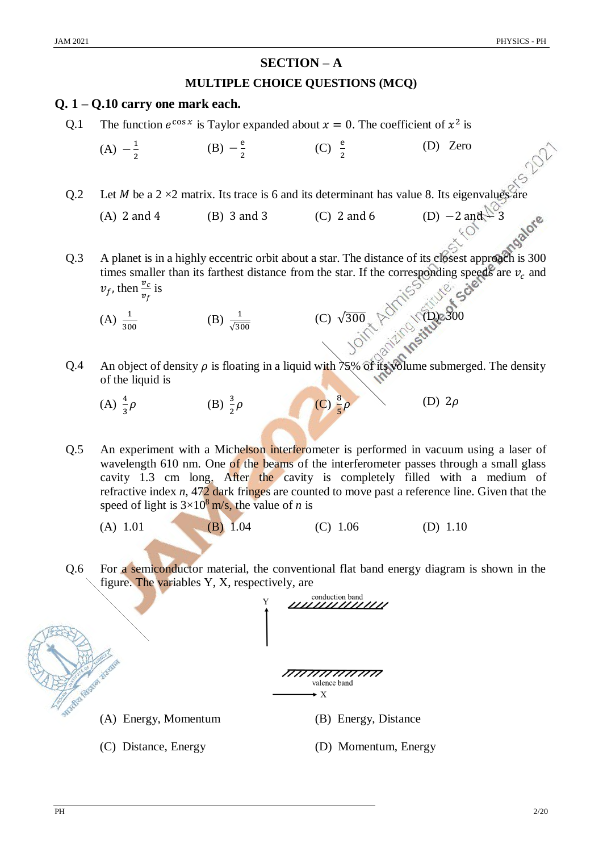latore

# **SECTION – A**

## **MULTIPLE CHOICE QUESTIONS (MCQ)**

# **Q. 1 – Q.10 carry one mark each.**

Q.1 The function  $e^{\cos x}$  is Taylor expanded about  $x = 0$ . The coefficient of  $x^2$  is

(A) 
$$
-\frac{1}{2}
$$
 \t\t (B)  $-\frac{e}{2}$  \t\t (C)  $\frac{e}{2}$  \t\t (D) Zero

Q.2 Let *M* be a 2  $\times$ 2 matrix. Its trace is 6 and its determinant has value 8. Its eigenvalues are

(A) 2 and 4

\n(B) 3 and 3

\n(C) 2 and 6

\n(D) 
$$
-2
$$
 and  $\sqrt{2}$ 

\n(A) 2 and 4

\n(B) 3 and 3

\n(C) 2 and 6

\n(D)  $-2$  and  $\sqrt{2}$ 

- Q.3 A planet is in a highly eccentric orbit about a star. The distance of its closest approach is 300 times smaller than its farthest distance from the star. If the corresponding speeds are  $v_c$  and  $v_f$ , then  $\frac{v_c}{v_f}$  is
	- $(A) \frac{1}{300}$ (B)  $\frac{1}{\sqrt{300}}$

(C)  $\sqrt{300}$   $\sqrt{0}$ 

(D)  $2\rho$ 

- Q.4 An object of density  $\rho$  is floating in a liquid with 75% of its volume submerged. The density of the liquid is
	- (A)  $\frac{4}{3}$  $\rho$  (B)  $\frac{3}{2}$  $\rho$  (C)  $\frac{8}{5}\rho$
- Q.5 An experiment with a Michelson interferometer is performed in vacuum using a laser of wavelength 610 nm. One of the beams of the interferometer passes through a small glass cavity 1.3 cm long. After the cavity is completely filled with a medium of refractive index *n*, 472 dark fringes are counted to move past a reference line. Given that the speed of light is  $3 \times 10^8$  m/s, the value of *n* is
	- (A) 1.01 (B) 1.04 (C) 1.06 (D) 1.10
- Q.6 For a semiconductor material, the conventional flat band energy diagram is shown in the figure. The variables Y, X, respectively, are



- (A) Energy, Momentum (B) Energy, Distance
- 

- 
- (C) Distance, Energy (D) Momentum, Energy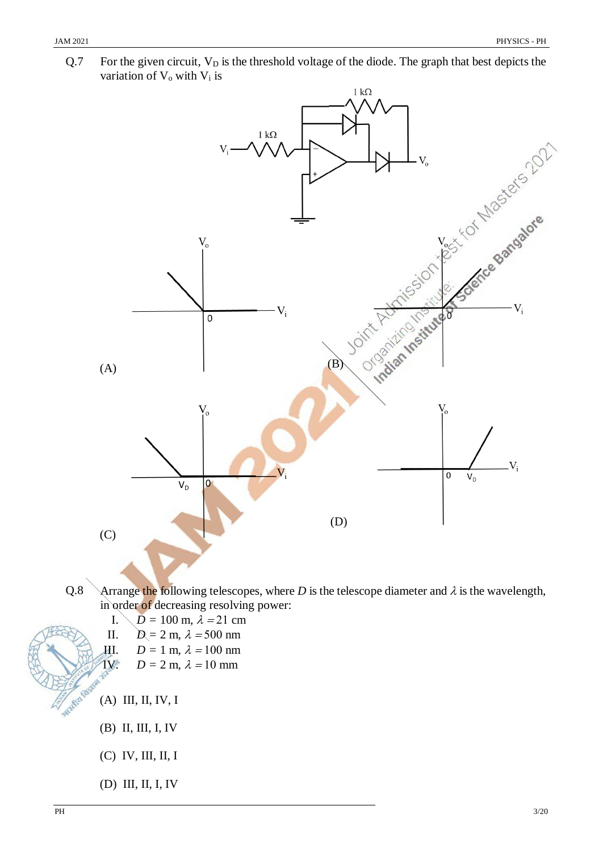

 $Q.7$  For the given circuit,  $V_D$  is the threshold voltage of the diode. The graph that best depicts the variation of  $V_0$  with  $V_i$  is

- Q.8 Arrange the following telescopes, where *D* is the telescope diameter and  $\lambda$  is the wavelength, in order of decreasing resolving power:
	- $I. \quad D = 100 \text{ m}, \lambda = 21 \text{ cm}$
	- II.  $D = 2 \text{ m}, \lambda = 500 \text{ nm}$
	- III.  $D = 1$  m,  $\lambda = 100$  nm
	- IV.  $D = 2$  m,  $\lambda = 10$  mm
	- (A) III, II, IV, I
	- (B) II, III, I, IV
	- (C) IV, III, II, I
	- (D) III, II, I, IV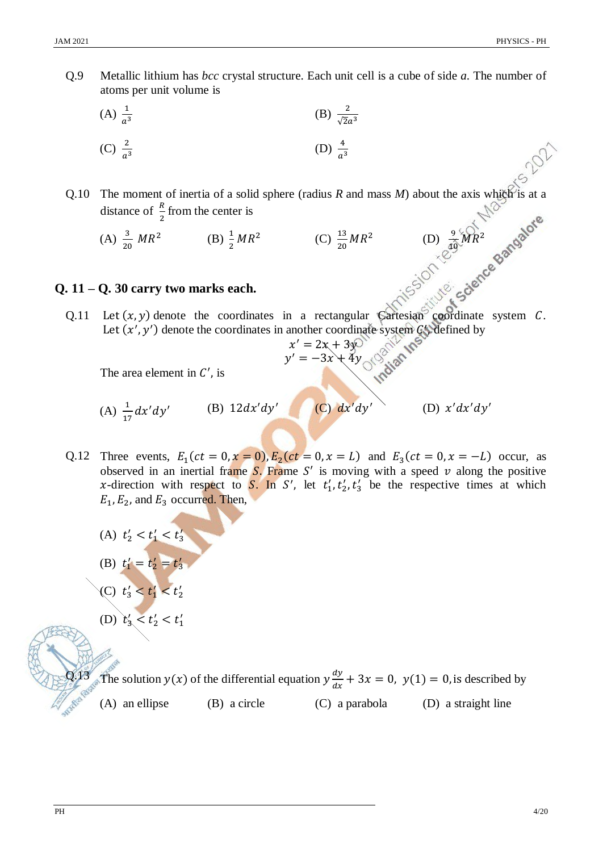$\frac{9}{10}MR^2$ 

Q.9 Metallic lithium has *bcc* crystal structure. Each unit cell is a cube of side *a*. The number of atoms per unit volume is

(A) 
$$
\frac{1}{a^3}
$$
 (B)  $\frac{2}{\sqrt{2}a^3}$   
(C)  $\frac{2}{a^3}$  (D)  $\frac{4}{a^3}$ 

- Q.10 The moment of inertia of a solid sphere (radius *R* and mass *M*) about the axis which is at a distance of  $\frac{R}{2}$  from the center is 2
	- (A)  $\frac{3}{20}MR^2$  (B)  $\frac{1}{2}MR^2$  (C)  $\frac{13}{20}MR^2$  (D)  $\frac{9}{40}$

# **Q. 11 – Q. 30 carry two marks each.**

Q.11 Let  $(x, y)$  denote the coordinates in a rectangular Cartesian coordinate system C. Let  $(x', y')$  denote the coordinates in another coordinate system  $C'$ , defined by

$$
x' = 2x + 3y
$$
  

$$
y' = -3x + 4y
$$

The area element in  $C'$ , is

(A) 
$$
\frac{1}{17} dx'dy'
$$
 (B)  $12dx'dy'$  (C)  $dx'dy'$  (D)  $x'dx'dy'$ 

- Q.12 Three events,  $E_1(ct = 0, x = 0)$ ,  $E_2(ct = 0, x = L)$  and  $E_3(ct = 0, x = -L)$  occur, as observed in an inertial frame  $S$ . Frame S' is moving with a speed  $\nu$  along the positive x-direction with respect to S. In S', let  $t'_1, t'_2, t'_3$  be the respective times at which  $E_1$ ,  $E_2$ , and  $E_3$  occurred. Then,
	- (A)  $t'_2 < t'_1 < t'_3$

(B) 
$$
t'_1 = t'_2 = t'_3
$$
  
(C)  $t'_3 < t'_1 < t'_2$ 

(D) 
$$
t'_3 < t'_2 < t'_1
$$

Q.13 The solution  $y(x)$  of the differential equation  $y\frac{dy}{dx}$  $\frac{dy}{dx} + 3x = 0$ ,  $y(1) = 0$ , is described by

(A) an ellipse (B) a circle (C) a parabola (D) a straight line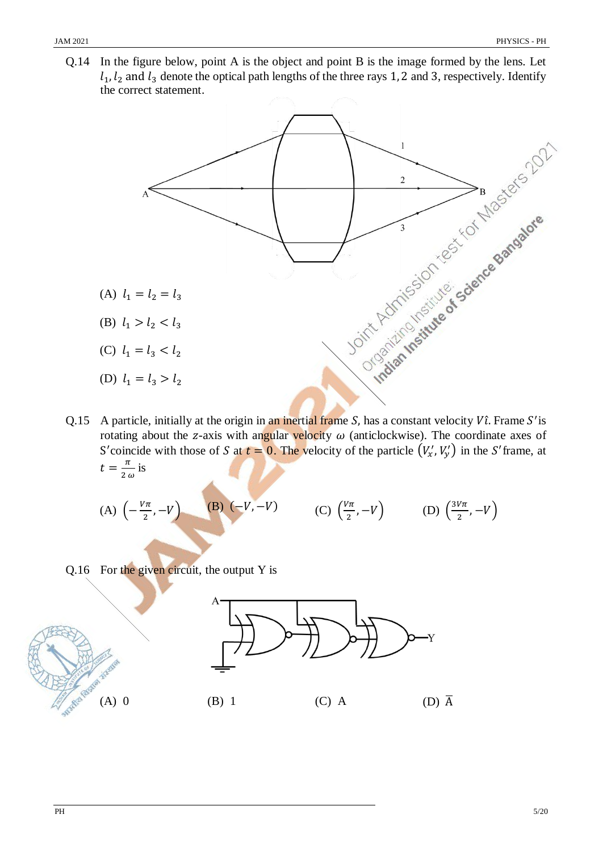Q.14 In the figure below, point A is the object and point B is the image formed by the lens. Let  $l_1$ ,  $l_2$  and  $l_3$  denote the optical path lengths of the three rays 1, 2 and 3, respectively. Identify the correct statement.



Q.15 A particle, initially at the origin in an inertial frame S, has a constant velocity  $V\hat{i}$ . Frame S' is rotating about the z-axis with angular velocity  $\omega$  (anticlockwise). The coordinate axes of S'coincide with those of S at  $t = 0$ . The velocity of the particle  $(V'_x, V'_y)$  in the S'frame, at  $t=\frac{\pi}{2}$  $\frac{\pi}{2 \omega}$  is

(A) 
$$
\left(-\frac{V\pi}{2}, -V\right)
$$
 (B)  $\left(-V, -V\right)$  (C)  $\left(\frac{V\pi}{2}, -V\right)$  (D)  $\left(\frac{3V\pi}{2}, -V\right)$ 

Q.16 For the given circuit, the output Y is

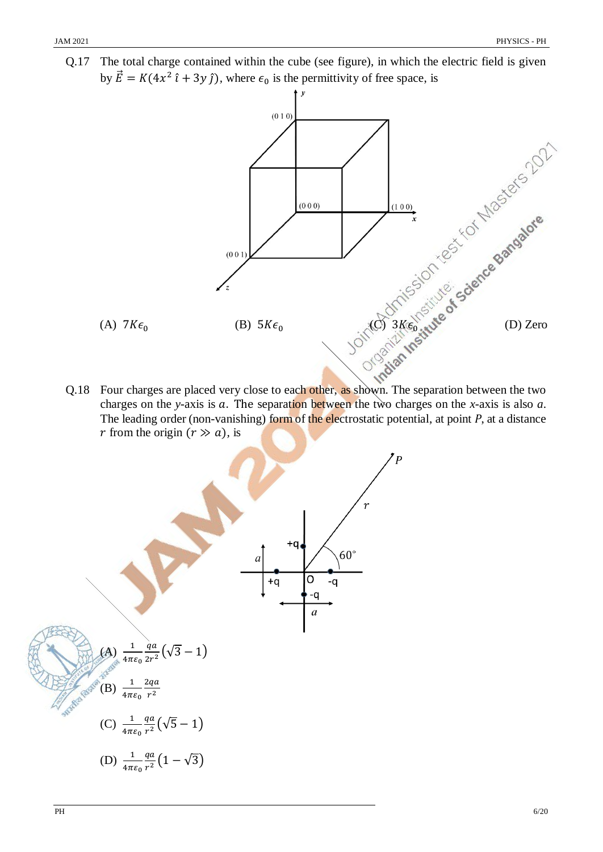Q.17 The total charge contained within the cube (see figure), in which the electric field is given by  $\vec{E} = K(4x^2 \hat{i} + 3y \hat{j})$ , where  $\epsilon_0$  is the permittivity of free space, is



Q.18 Four charges are placed very close to each other, as shown. The separation between the two charges on the *y*-axis is  $a$ . The separation between the two charges on the *x*-axis is also  $a$ . The leading order (non-vanishing) form of the electrostatic potential, at point *P*, at a distance *r* from the origin  $(r \gg a)$ , is

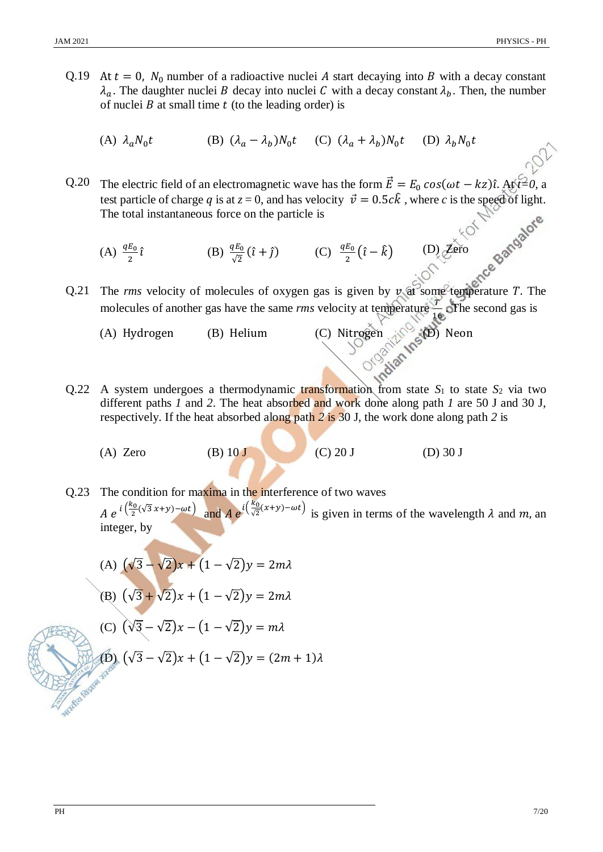- Q.19 At  $t = 0$ ,  $N_0$  number of a radioactive nuclei A start decaying into B with a decay constant  $\lambda_a$ . The daughter nuclei B decay into nuclei C with a decay constant  $\lambda_b$ . Then, the number of nuclei  $B$  at small time  $t$  (to the leading order) is
	- (A)  $\lambda_a N_0 t$  (B)  $(\lambda_a \lambda_b) N_0 t$  (C)  $(\lambda_a + \lambda_b) N_0 t$  (D)  $\lambda_b N_0 t$

Q.20 The electric field of an electromagnetic wave has the form  $\vec{E} = E_0 \cos(\omega t - kz) \hat{i}$ . At  $\hat{t}=0$ , a test particle of charge q is at  $z = 0$ , and has velocity  $\vec{v} = 0.5c\hat{k}$ , where c is the speed of light. The total instantaneous force on the particle is

(A)  $\frac{qE_0}{2}\hat{i}$  (B)  $\frac{qE_0}{\sqrt{2}}(\hat{i} + \hat{j})$  (C)  $\frac{qE_0}{2}$  $\frac{E_0}{2}(\hat{i}-\hat{k})$  (D) Zero

Q.21 The *rms* velocity of molecules of oxygen gas is given by  $\nu$  at some temperature  $T$ . The molecules of another gas have the same *rms* velocity at temperature  $\frac{1}{16}$  of the second gas is

(A) Hydrogen (B) Helium (C) Nitrogen  $\mathbb{R}^{\mathbb{C}}$  Neon

- Q.22 A system undergoes a thermodynamic transformation from state  $S_1$  to state  $S_2$  via two different paths *1* and *2*. The heat absorbed and work done along path *1* are 50 J and 30 J, respectively. If the heat absorbed along path *2* is 30 J, the work done along path *2* is
	- (A) Zero (B)  $10 J$  (C)  $20 J$  (D)  $30 J$

Q.23 The condition for maxima in the interference of two waves  $A e^{i\left(\frac{k_0}{2}(\sqrt{3}x+y)-\omega t\right)}$  and  $A e^{i\left(\frac{k_0}{\sqrt{2}}\right)}$  $\frac{\pi}{\sqrt{2}}(x+y)-\omega t$  is given in terms of the wavelength  $\lambda$  and  $m$ , and integer, by

(A) 
$$
(\sqrt{3} - \sqrt{2})x + (1 - \sqrt{2})y = 2m\lambda
$$

(B) 
$$
(\sqrt{3} + \sqrt{2})x + (1 - \sqrt{2})y = 2m\lambda
$$

$$
(C) \ (\sqrt{3} - \sqrt{2})x - (1 - \sqrt{2})y = m\lambda
$$

(D) 
$$
(\sqrt{3} - \sqrt{2})x + (1 - \sqrt{2})y = (2m + 1)\lambda
$$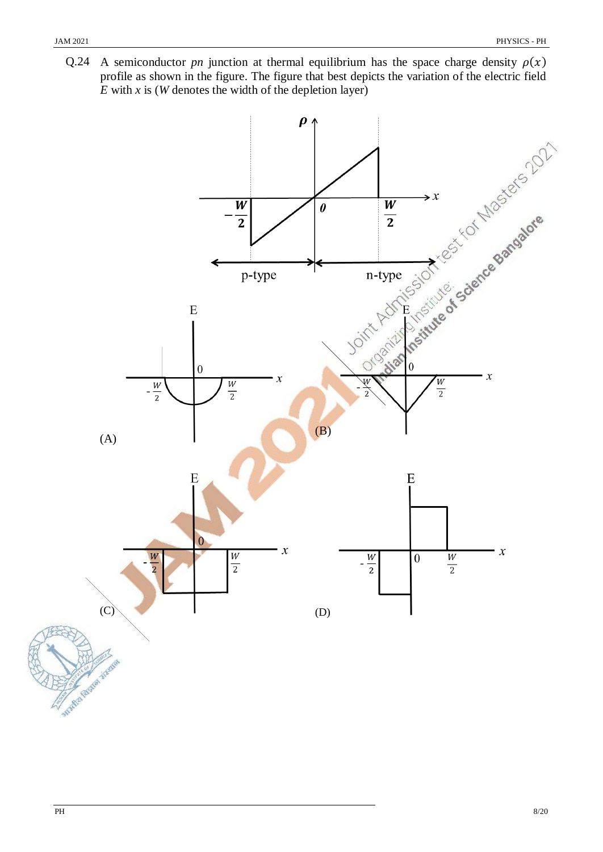Q.24 A semiconductor *pn* junction at thermal equilibrium has the space charge density  $\rho(x)$ profile as shown in the figure. The figure that best depicts the variation of the electric field *E* with *x* is (*W* denotes the width of the depletion layer)

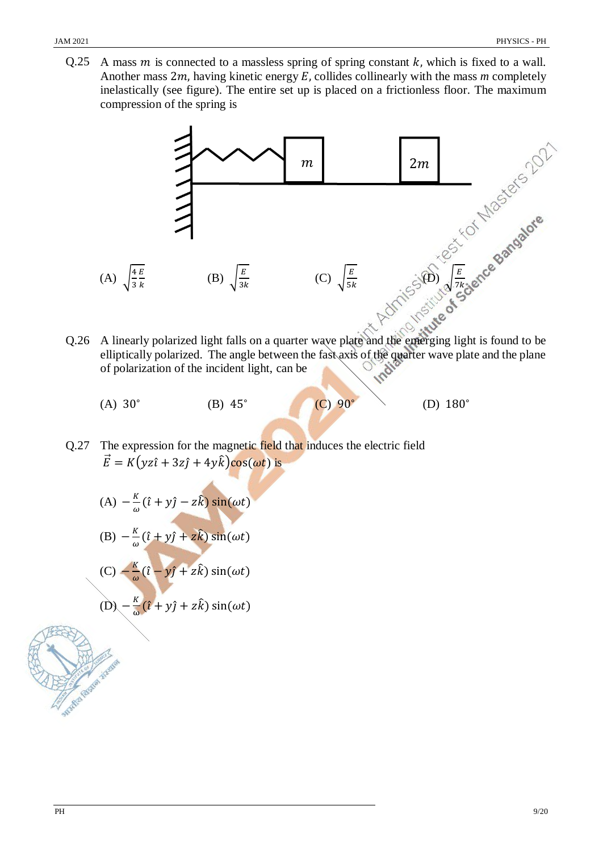Q.25 A mass  $m$  is connected to a massless spring of spring constant  $k$ , which is fixed to a wall. Another mass  $2m$ , having kinetic energy  $E$ , collides collinearly with the mass  $m$  completely inelastically (see figure). The entire set up is placed on a frictionless floor. The maximum compression of the spring is



- Q.26 A linearly polarized light falls on a quarter wave plate and the emerging light is found to be elliptically polarized. The angle between the fast axis of the quarter wave plate and the plane of polarization of the incident light, can be
	- (A) 30<sup>∘</sup> (B) 45<sup>∘</sup> (C) 90<sup>∘</sup> (D) 180<sup>∘</sup>
- Q.27 The expression for the magnetic field that induces the electric field  $\vec{E} = K(yz\hat{i} + 3z\hat{j} + 4y\hat{k})\cos(\omega t)$  is
	- $(A) -\frac{K}{N}$  $\frac{K}{\omega}(\hat{i} + y\hat{j} - z\hat{k})\sin(\omega t)$

(B) 
$$
-\frac{k}{\omega}(\hat{i} + y\hat{j} + z\hat{k})\sin(\omega t)
$$

(C) 
$$
-\frac{k}{\omega}(\hat{i}-y\hat{j}+z\hat{k})\sin(\omega t)
$$

$$
\text{(D)} \, -\frac{\kappa}{\omega}(\hat{\imath} + y\hat{\jmath} + z\hat{k})\sin(\omega t)
$$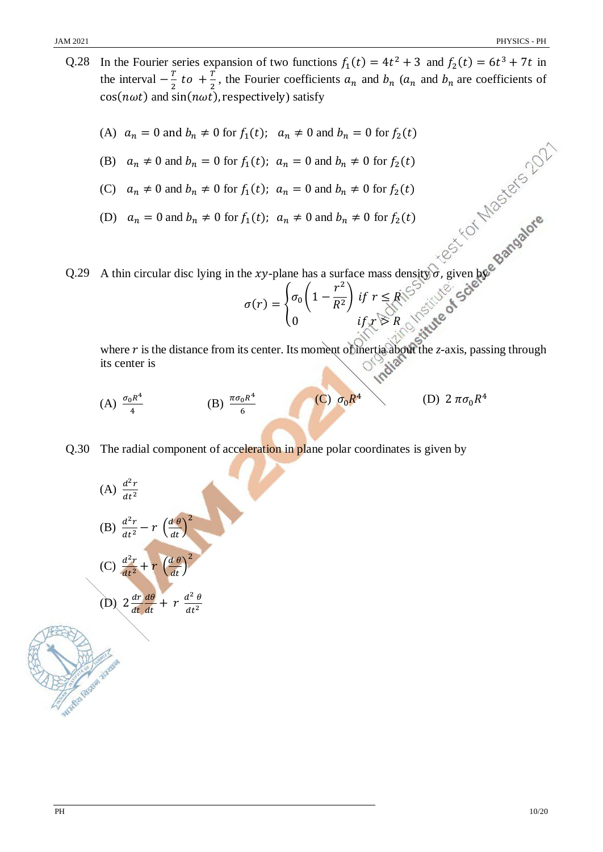- Q.28 In the Fourier series expansion of two functions  $f_1(t) = 4t^2 + 3$  and  $f_2(t) = 6t^3 + 7t$  in the interval  $-\frac{T}{2}$  $\frac{T}{2}$  to  $+\frac{T}{2}$  $\frac{1}{2}$ , the Fourier coefficients  $a_n$  and  $b_n$  ( $a_n$  and  $b_n$  are coefficients of  $cos(n\omega t)$  and  $sin(n\omega t)$ , respectively) satisfy
	- (A)  $a_n = 0$  and  $b_n \neq 0$  for  $f_1(t)$ ;  $a_n \neq 0$  and  $b_n = 0$  for  $f_2(t)$
	- (B)  $a_n \neq 0$  and  $b_n = 0$  for  $f_1(t)$ ;  $a_n = 0$  and  $b_n \neq 0$  for  $f_2(t)$
	- (C)  $a_n \neq 0$  and  $b_n \neq 0$  for  $f_1(t)$ ;  $a_n = 0$  and  $b_n \neq 0$  for  $f_2(t)$
	- (D)  $a_n = 0$  and  $b_n \neq 0$  for  $f_1(t)$ ;  $a_n \neq 0$  and  $b_n \neq 0$  for  $f_2(t)$

Q.29 A thin circular disc lying in the *xy*-plane has a surface mass density  $\sigma$ , given by

$$
\sigma(r) = \begin{cases} \sigma_0 \left( 1 - \frac{r^2}{R^2} \right) & \text{if } r \le R \\ 0 & \text{if } r \le R \end{cases}
$$

where  $r$  is the distance from its center. Its moment of inertia about the  $z$ -axis, passing through its center is

- (A)  $\frac{\sigma_0 R^4}{4}$ 4 (B)  $\frac{\pi \sigma_0 R^4}{6}$ 6 (C)  $\sigma_0 R$ 4 (D)  $2 \pi \sigma_0 R^4$
- Q.30 The radial component of acceleration in plane polar coordinates is given by

(A) 
$$
\frac{d^2r}{dt^2}
$$
  
\n(B)  $\frac{d^2r}{dt^2} - r \left(\frac{d\theta}{dt}\right)^2$   
\n(C)  $\frac{d^2r}{dt^2} + r \left(\frac{d\theta}{dt}\right)^2$   
\n(D)  $2 \frac{dr}{dt} \frac{d\theta}{dt} + r \frac{d^2\theta}{dt^2}$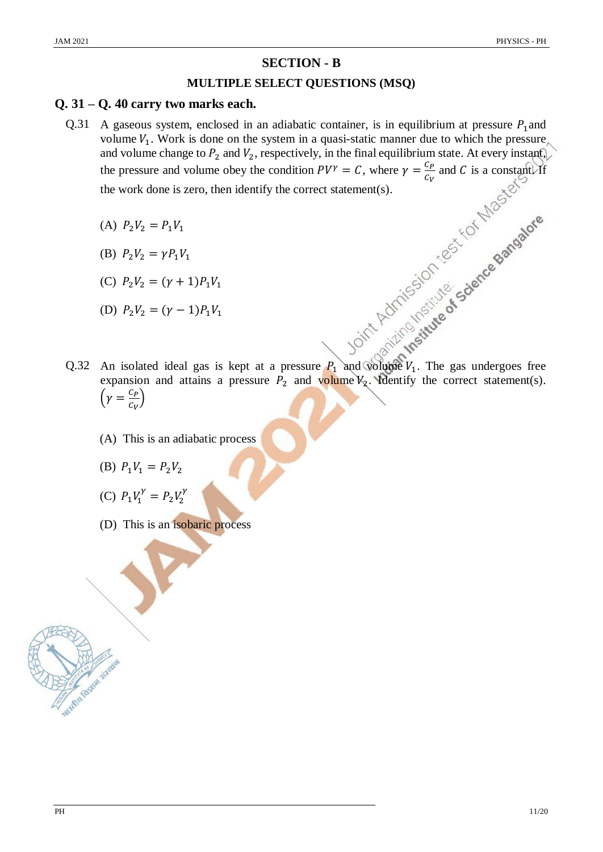# **SECTION - B**

### **MULTIPLE SELECT QUESTIONS (MSQ)**

#### **Q. 31 – Q. 40 carry two marks each.**

- Q.31 A gaseous system, enclosed in an adiabatic container, is in equilibrium at pressure  $P_1$  and volume  $V_1$ . Work is done on the system in a quasi-static manner due to which the pressure and volume change to  $P_2$  and  $V_2$ , respectively, in the final equilibrium state. At every instant, the pressure and volume obey the condition  $PV^{\gamma} = C$ , where  $\gamma =$  $C_P$  $rac{c_p}{c_v}$  and C is a constant. If the work done is zero, then identify the correct statement(s).
	- (A)  $P_2V_2 = P_1V_1$
	- (B)  $P_2 V_2 = \gamma P_1 V_1$
	- (C)  $P_2V_2 = (\gamma + 1)P_1V_1$
	- (D)  $P_2V_2 = (\gamma 1)P_1V_1$
- Q.32 An isolated ideal gas is kept at a pressure  $P_1$  and volume  $V_1$ . The gas undergoes free expansion and attains a pressure  $P_2$  and volume  $V_2$ . Identify the correct statement(s).  $\left(\gamma\right) = \frac{C_P}{c}$  $\frac{c_P}{c_V}$ 
	- (A) This is an adiabatic process
	- (B)  $P_1V_1 = P_2V_2$
	- (C)  $P_1V_1^{\gamma} = P_2V_2^{\gamma}$
	- (D) This is an isobaric process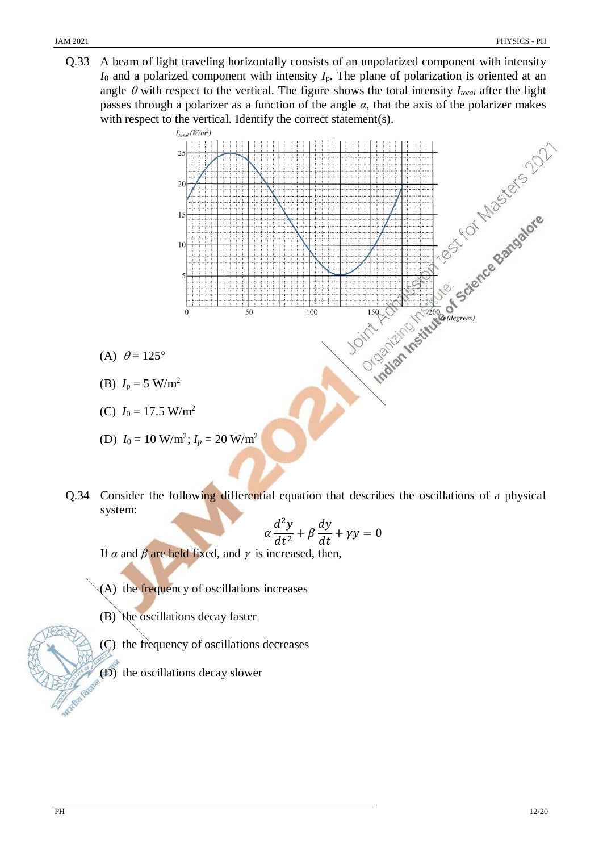Q.33 A beam of light traveling horizontally consists of an unpolarized component with intensity *I*<sup>0</sup> and a polarized component with intensity *I*p. The plane of polarization is oriented at an passes through a polarizer as a function of the angle  $\alpha$ , that the axis of the polarizer makes with respect to the vertical. Identify the correct statement(s).



- 
- (C)  $I_0 = 17.5$  W/m<sup>2</sup>

(D) 
$$
I_0 = 10 \text{ W/m}^2
$$
;  $I_p = 20 \text{ W/m}^2$ 

Q.34 Consider the following differential equation that describes the oscillations of a physical system:

$$
\alpha \frac{d^2 y}{dt^2} + \beta \frac{dy}{dt} + \gamma y = 0
$$

If  $\alpha$  and  $\beta$  are held fixed, and  $\gamma$  is increased, then,

- (A) the frequency of oscillations increases
- (B) the oscillations decay faster
- (C) the frequency of oscillations decreases
- (D) the oscillations decay slower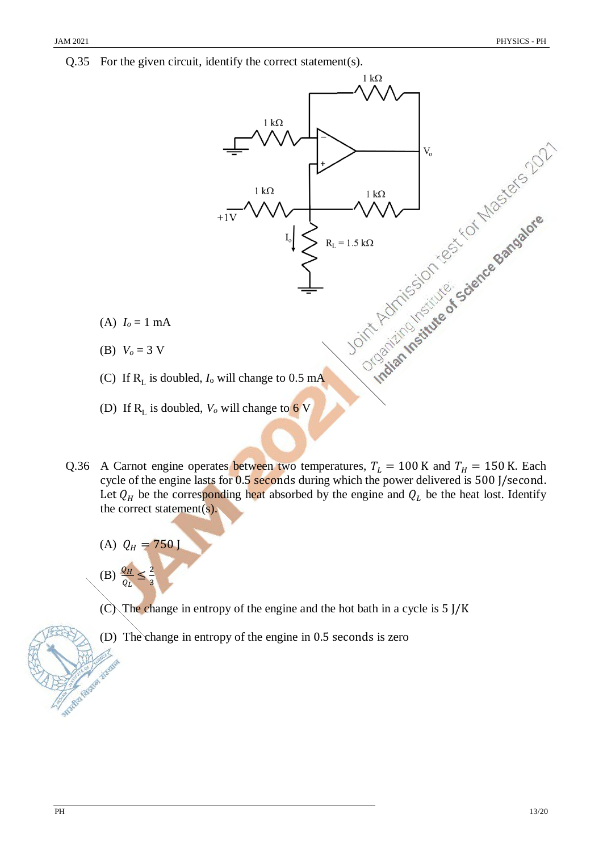Q.35 For the given circuit, identify the correct statement(s).



- Q.36 A Carnot engine operates between two temperatures,  $T_L = 100$  K and  $T_H = 150$  K. Each cycle of the engine lasts for 0.5 seconds during which the power delivered is 500 J/second. Let  $Q_H$  be the corresponding heat absorbed by the engine and  $Q_L$  be the heat lost. Identify the correct statement(s).
	- (A)  $Q_H = 750$  J
	- (B)  $\frac{Q_H}{Q_L} \leq \frac{2}{3}$ 3
	- $(C)$ . The change in entropy of the engine and the hot bath in a cycle is 5 J/K
	- (D) The change in entropy of the engine in 0.5 seconds is zero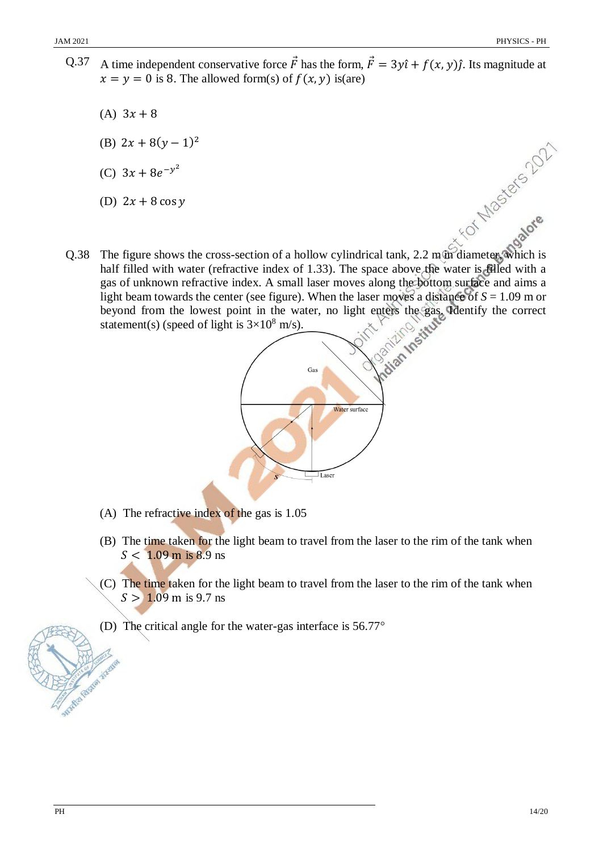- Q.37 A time independent conservative force  $\vec{F}$  has the form,  $\vec{F} = 3y\hat{i} + f(x, y)\hat{j}$ . Its magnitude at  $x = y = 0$  is 8. The allowed form(s) of  $f(x, y)$  is(are)
	- (A)  $3x + 8$
	- (B)  $2x + 8(y 1)^2$
	- (C)  $3x + 8e^{-y^2}$
	- (D)  $2x + 8 \cos y$
- Q.38 The figure shows the cross-section of a hollow cylindrical tank, 2.2 m/m diameter, which is half filled with water (refractive index of 1.33). The space above the contraction of a boundary refractive half filled with water (refractive index of 1.33). The space above the water is filled with a gas of unknown refractive index. A small laser moves along the bottom surface and aims a light beam towards the center (see figure). When the laser moves a distance of  $S = 1.09$  m or beyond from the lowest point in the water, no light enters the gas. Identify the correct statement(s) (speed of light is  $3 \times 10^8$  m/s). statement(s) (speed of light is  $3\times10^8$  m/s).



- (A) The refractive index of the gas is 1.05
- (B) The time taken for the light beam to travel from the laser to the rim of the tank when  $S < 1.09$  m is 8.9 ns
- (C) The time taken for the light beam to travel from the laser to the rim of the tank when  $S > 1.09$  m is 9.7 ns
- (D) The critical angle for the water-gas interface is 56.77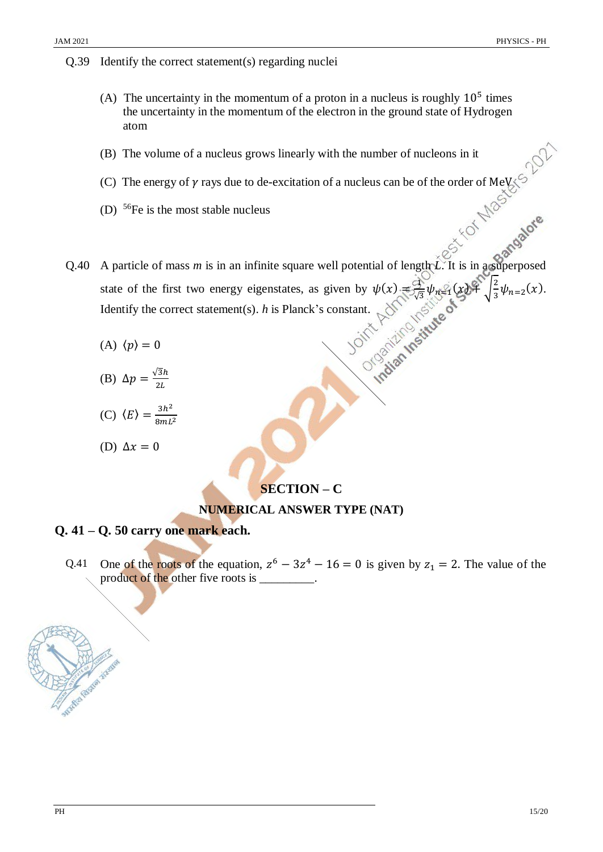#### Q.39 Identify the correct statement(s) regarding nuclei

- (A) The uncertainty in the momentum of a proton in a nucleus is roughly  $10<sup>5</sup>$  times the uncertainty in the momentum of the electron in the ground state of Hydrogen atom
- (B) The volume of a nucleus grows linearly with the number of nucleons in it
- (C) The energy of  $\gamma$  rays due to de-excitation of a nucleus can be of the order of MeV
- (D)  $56Fe$  is the most stable nucleus
- (D) <sup>56</sup>Fe is the most stable nucleus<br>Q.40 A particle of mass *m* is in an infinite square well potential of length *L*. It is in a superposed state of the first two energy eigenstates, as given by  $\psi(x) = \frac{c_1}{6}$  $\frac{1}{\sqrt{3}}\psi_n \leq_1 (x) + \sqrt{\frac{2}{3}}$  $\frac{2}{3}\psi_{n=2}(x)$ . Identify the correct statement(s). *h* is Planck's constant.
	- (A)  $\langle p \rangle = 0$
	- (B)  $\Delta p = \frac{\sqrt{3}h}{2l}$  $2L$
	- (C)  $\langle E \rangle = \frac{3h^2}{2mL}$  $8mL^2$
	- (D)  $\Delta x = 0$

# **SECTION – C**

# **NUMERICAL ANSWER TYPE (NAT)**

# **Q. 41 – Q. 50 carry one mark each.**

Q.41 One of the roots of the equation,  $z^6 - 3z^4 - 16 = 0$  is given by  $z_1 = 2$ . The value of the product of the other five roots is \_\_\_\_\_\_\_\_.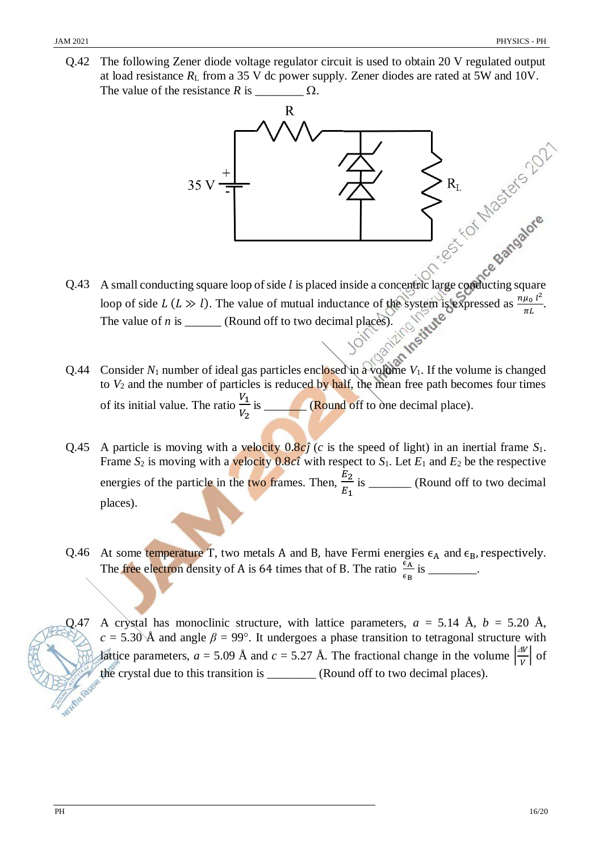Q.42 The following Zener diode voltage regulator circuit is used to obtain 20 V regulated output at load resistance *R*<sup>L</sup> from a 35 V dc power supply. Zener diodes are rated at 5W and 10V. The value of the resistance  $R$  is  $\qquad \qquad \Omega$ .



- loop of side  $L(L \gg l)$ . The value of mutual inductance of the system is expressed as  $\frac{n\mu_0 l^2}{I}$  $\frac{\mu_0}{\pi L}$ . The value of  $n$  is \_\_\_\_\_\_\_ (Round off to two decimal places).
- Q.44 Consider  $N_1$  number of ideal gas particles enclosed in a volume  $V_1$ . If the volume is changed to  $V_2$  and the number of particles is reduced by half, the mean free path becomes four times of its initial value. The ratio  $\frac{V_1}{V_2}$  $V<sub>2</sub>$ is \_\_\_\_\_\_\_\_ (Round off to one decimal place).
- Q.45 A particle is moving with a velocity  $0.8c\hat{j}$  (*c* is the speed of light) in an inertial frame  $S_1$ . Frame  $S_2$  is moving with a velocity 0.8 $c\hat{i}$  with respect to  $S_1$ . Let  $E_1$  and  $E_2$  be the respective energies of the particle in the two frames. Then,  $\frac{E_2}{E_1}$  $E_1$ is \_\_\_\_\_\_\_ (Round off to two decimal places).
- Q.46 At some temperature T, two metals A and B, have Fermi energies  $\epsilon_A$  and  $\epsilon_B$ , respectively. The free electron density of A is 64 times that of B. The ratio  $\frac{\epsilon_{\rm A}}{\epsilon_{\rm B}}$  is \_\_\_\_\_\_\_.
- Q.47 A crystal has monoclinic structure, with lattice parameters,  $a = 5.14$  Å,  $b = 5.20$  Å,  $c = 5.30$ Å and angle  $\beta = 99^\circ$ . It undergoes a phase transition to tetragonal structure with lattice parameters,  $a = 5.09$  Å and  $c = 5.27$  Å. The fractional change in the volume  $\frac{dv}{dt}$  $\frac{d}{v}$  of the crystal due to this transition is \_\_\_\_\_\_\_\_ (Round off to two decimal places).

**STARTS**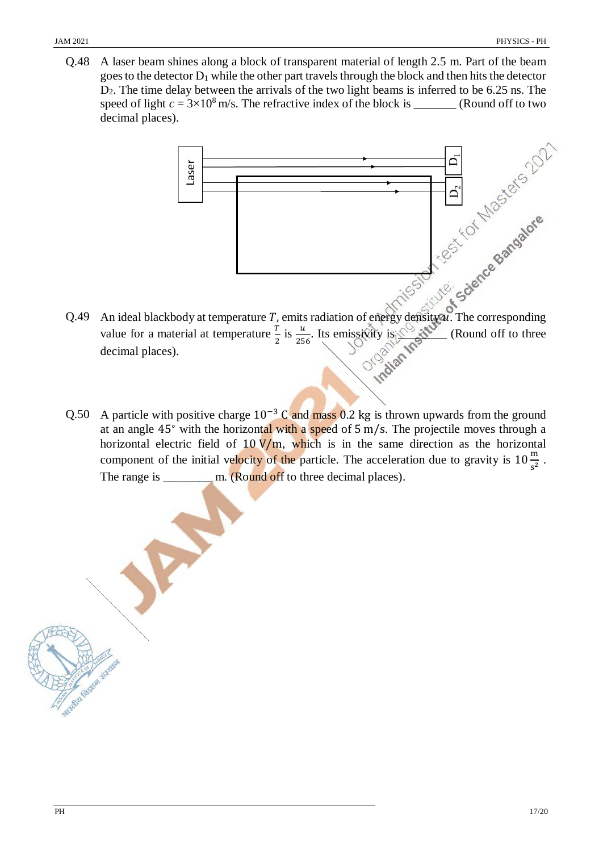Q.48 A laser beam shines along a block of transparent material of length 2.5 m. Part of the beam goes to the detector  $D_1$  while the other part travels through the block and then hits the detector D2. The time delay between the arrivals of the two light beams is inferred to be 6.25 ns. The speed of light  $c = 3 \times 10^8$  m/s. The refractive index of the block is \_\_\_\_\_\_\_\_ (Round off to two decimal places).



- Q.49 An ideal blackbody at temperature  $T$ , emits radiation of energy density  $u$ . The corresponding value for a material at temperature  $\frac{T}{2}$  is  $\frac{u}{256}$ . Its emissivity is  $\frac{u}{256}$  (Round off to three decimal places). Indian
- Q.50 A particle with positive charge  $10^{-3}$  C and mass 0.2 kg is thrown upwards from the ground at an angle 45<sup>∘</sup> with the horizontal with a speed of 5 m/s. The projectile moves through a horizontal electric field of  $10 \text{ V/m}$ , which is in the same direction as the horizontal component of the initial velocity of the particle. The acceleration due to gravity is  $10\frac{\text{m}}{\text{s}^2}$ . The range is \_\_\_\_\_\_\_\_\_\_ m. (Round off to three decimal places).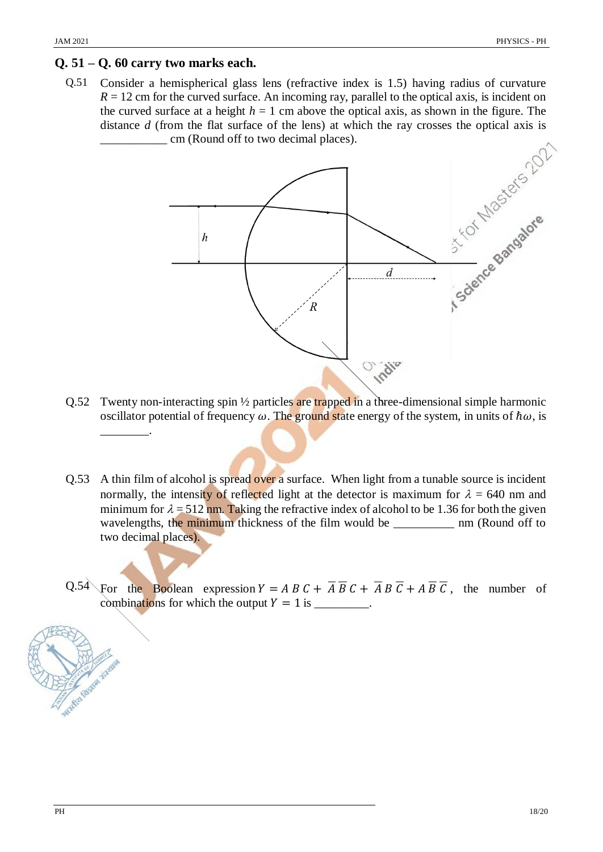#### **Q. 51 – Q. 60 carry two marks each.**

Q.51 Consider a hemispherical glass lens (refractive index is 1.5) having radius of curvature  $R = 12$  cm for the curved surface. An incoming ray, parallel to the optical axis, is incident on the curved surface at a height  $h = 1$  cm above the optical axis, as shown in the figure. The \_\_\_\_\_\_\_\_\_\_\_ cm (Round off to two decimal places).



- Q.52 Twenty non-interacting spin 1/2 particles are trapped in a three-dimensional simple harmonic oscillator potential of frequency  $\omega$ . The ground state energy of the system, in units of  $\hbar\omega$ , is \_\_\_\_\_\_\_\_.
- Q.53 A thin film of alcohol is spread over a surface. When light from a tunable source is incident normally, the intensity of reflected light at the detector is maximum for  $\lambda = 640$  nm and minimum for  $\lambda = 512$  nm. Taking the refractive index of alcohol to be 1.36 for both the given wavelengths, the minimum thickness of the film would be \_\_\_\_\_\_\_\_\_\_\_ nm (Round off to two decimal places).
- Q.54 For the Boolean expression  $Y = AB C + \overline{A} \overline{B} C + \overline{A} B \overline{C} + A \overline{B} \overline{C}$ , the number of combinations for which the output  $Y = 1$  is \_\_\_\_\_\_\_\_.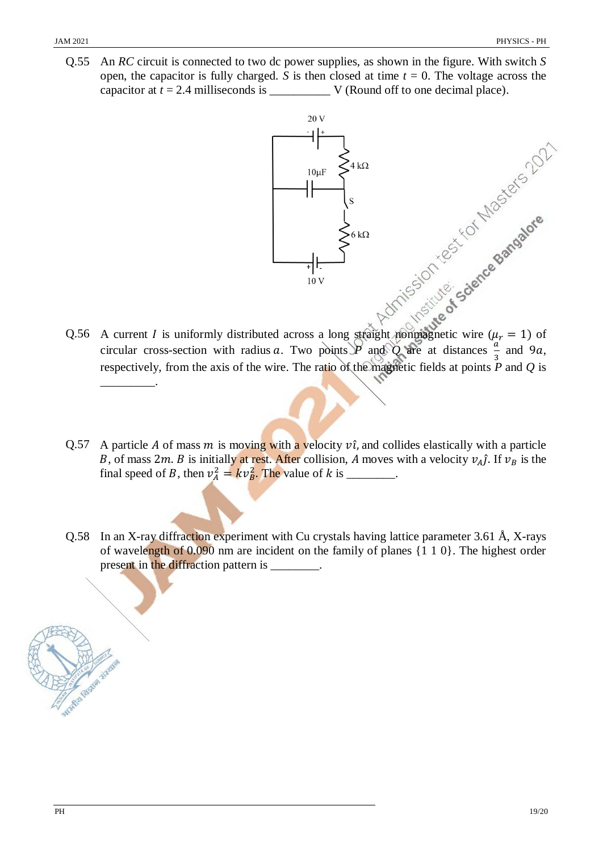Q.55 An *RC* circuit is connected to two dc power supplies, as shown in the figure. With switch *S* open, the capacitor is fully charged. *S* is then closed at time  $t = 0$ . The voltage across the capacitor at *t* = 2.4 milliseconds is \_\_\_\_\_\_\_\_\_\_ V (Round off to one decimal place).



- Q.56 A current *I* is uniformly distributed across a long straight nonmagnetic wire ( $\mu_r = 1$ ) of circular cross-section with radius a. Two points *P* and *Q* are at distances  $\frac{a}{2}$  $\frac{a}{3}$  and 9*a*, respectively, from the axis of the wire. The ratio of the magnetic fields at points *P* and *Q* is \_\_\_\_\_\_\_\_\_.
- Q.57 A particle A of mass m is moving with a velocity  $\hat{v}$ , and collides elastically with a particle B, of mass 2m. B is initially at rest. After collision, A moves with a velocity  $v_A \hat{j}$ . If  $v_B$  is the final speed of *B*, then  $v_A^2 = kv_B^2$ . The value of *k* is \_\_\_\_\_\_\_.
- Q.58 In an X-ray diffraction experiment with Cu crystals having lattice parameter 3.61 Å, X-rays of wavelength of 0.090 nm are incident on the family of planes {1 1 0}. The highest order present in the diffraction pattern is \_\_\_\_\_\_\_\_.